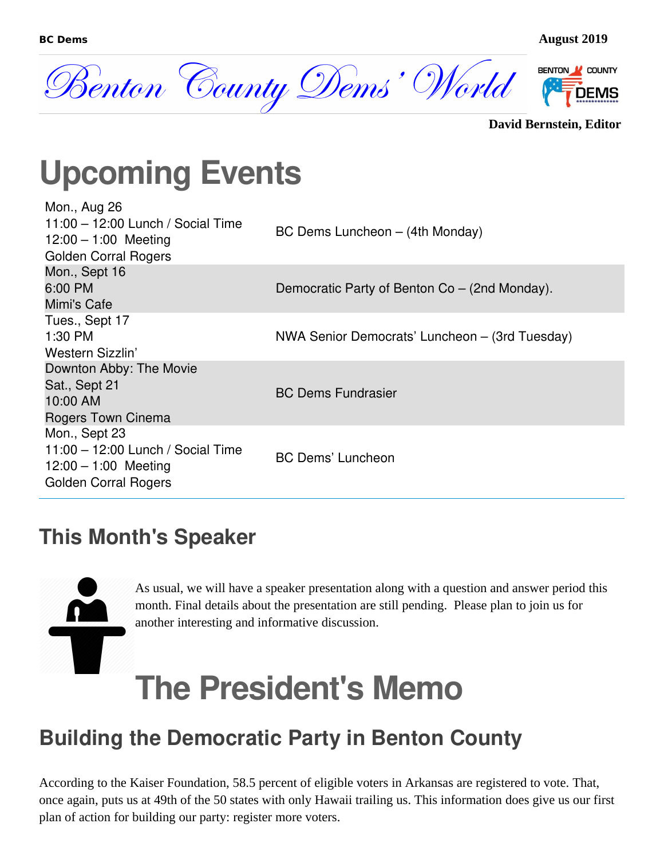

```
David Bernstein, Editor
```
## **Upcoming Events**

| Mon., Aug 26<br>11:00 - 12:00 Lunch / Social Time<br>$12:00 - 1:00$ Meeting<br><b>Golden Corral Rogers</b>  | BC Dems Luncheon – (4th Monday)                |
|-------------------------------------------------------------------------------------------------------------|------------------------------------------------|
| Mon., Sept 16<br>6:00 PM<br>Mimi's Cafe                                                                     | Democratic Party of Benton Co – (2nd Monday).  |
| Tues., Sept 17<br>1:30 PM<br>Western Sizzlin'                                                               | NWA Senior Democrats' Luncheon – (3rd Tuesday) |
| Downton Abby: The Movie<br>Sat., Sept 21<br>10:00 AM<br>Rogers Town Cinema                                  | <b>BC Dems Fundrasier</b>                      |
| Mon., Sept 23<br>11:00 - 12:00 Lunch / Social Time<br>$12:00 - 1:00$ Meeting<br><b>Golden Corral Rogers</b> | <b>BC Dems' Luncheon</b>                       |

#### **This Month's Speaker**



As usual, we will have a speaker presentation along with a question and answer period this month. Final details about the presentation are still pending. Please plan to join us for another interesting and informative discussion.

## **The President's Memo**

#### **Building the Democratic Party in Benton County**

According to the Kaiser Foundation, 58.5 percent of eligible voters in Arkansas are registered to vote. That, once again, puts us at 49th of the 50 states with only Hawaii trailing us. This information does give us our first plan of action for building our party: register more voters.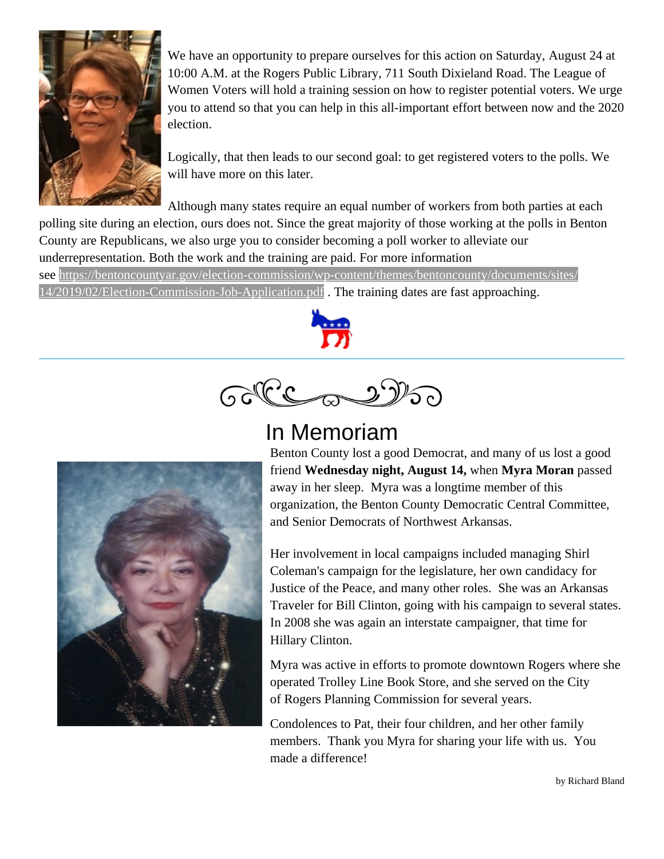

We have an opportunity to prepare ourselves for this action on Saturday, August 24 at 10:00 A.M. at the Rogers Public Library, 711 South Dixieland Road. The League of Women Voters will hold a training session on how to register potential voters. We urge you to attend so that you can help in this all-important effort between now and the 2020 election.

Logically, that then leads to our second goal: to get registered voters to the polls. We will have more on this later.

Although many states require an equal number of workers from both parties at each polling site during an election, ours does not. Since the great majority of those working at the polls in Benton County are Republicans, we also urge you to consider becoming a poll worker to alleviate our underrepresentation. Both the work and the training are paid. For more information

see [https://bentoncountyar.gov/election-commission/wp-content/themes/bentoncounty/documents/sites/](https://bentoncountyar.gov/election-commission/wp-content/themes/bentoncounty/documents/sites/14/2019/02/Election-Commission-Job-Application.pdf) [14/2019/02/Election-Commission-Job-Application.pdf](https://bentoncountyar.gov/election-commission/wp-content/themes/bentoncounty/documents/sites/14/2019/02/Election-Commission-Job-Application.pdf) . The training dates are fast approaching.



GOPCCONSO

#### In Memoriam



Benton County lost a good Democrat, and many of us lost a good friend **Wednesday night, August 14,** when **Myra Moran** passed away in her sleep. Myra was a longtime member of this organization, the Benton County Democratic Central Committee, and Senior Democrats of Northwest Arkansas.

Her involvement in local campaigns included managing Shirl Coleman's campaign for the legislature, her own candidacy for Justice of the Peace, and many other roles. She was an Arkansas Traveler for Bill Clinton, going with his campaign to several states. In 2008 she was again an interstate campaigner, that time for Hillary Clinton.

Myra was active in efforts to promote downtown Rogers where she operated Trolley Line Book Store, and she served on the City of Rogers Planning Commission for several years.

Condolences to Pat, their four children, and her other family members. Thank you Myra for sharing your life with us. You made a difference!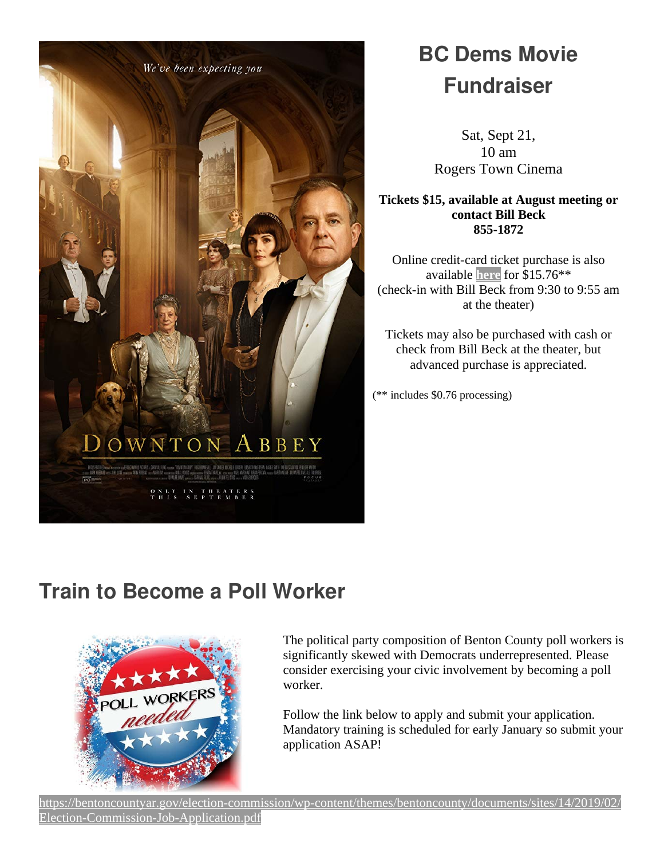

## **BC Dems Movie Fundraiser**

Sat, Sept 21, 10 am Rogers Town Cinema

**Tickets \$15, available at August meeting or contact Bill Beck 855-1872**

Online credit-card ticket purchase is also available **[here](https://www.bcdems.org/fundraiser.html)** for \$15.76\*\* (check-in with Bill Beck from 9:30 to 9:55 am at the theater)

Tickets may also be purchased with cash or check from Bill Beck at the theater, but advanced purchase is appreciated.

(\*\* includes \$0.76 processing)

#### **Train to Become a Poll Worker**



The political party composition of Benton County poll workers is significantly skewed with Democrats underrepresented. Please consider exercising your civic involvement by becoming a poll worker.

Follow the link below to apply and submit your application. Mandatory training is scheduled for early January so submit your application ASAP!

[https://bentoncountyar.gov/election-commission/wp-content/themes/bentoncounty/documents/sites/14/2019/02/](https://bentoncountyar.gov/election-commission/wp-content/themes/bentoncounty/documents/sites/14/2019/02/Election-Commission-Job-Application.pdf) [Election-Commission-Job-Application.pdf](https://bentoncountyar.gov/election-commission/wp-content/themes/bentoncounty/documents/sites/14/2019/02/Election-Commission-Job-Application.pdf)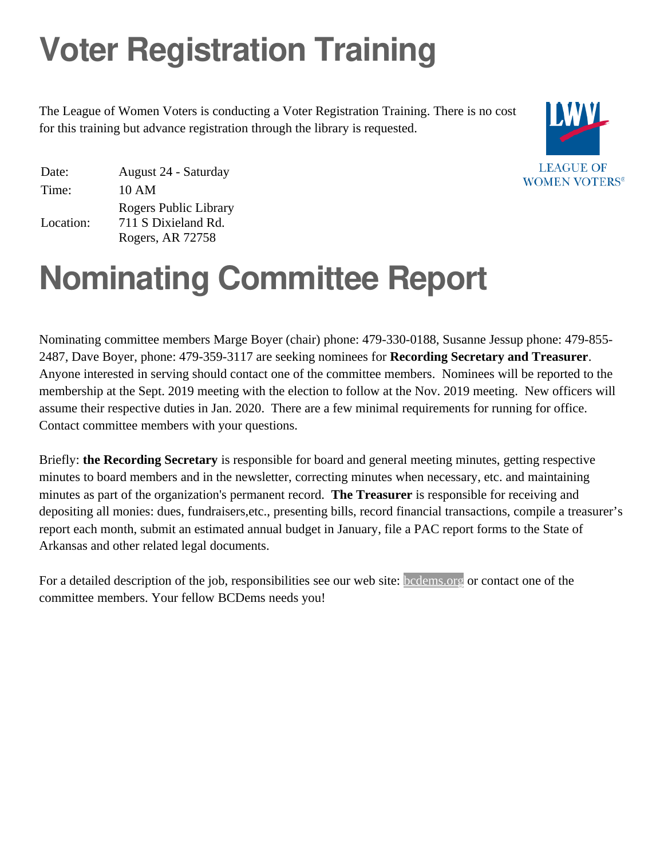# **Voter Registration Training**

The League of Women Voters is conducting a Voter Registration Training. There is no cost for this training but advance registration through the library is requested.



Date: August 24 - Saturday Time: 10 AM Location: Rogers Public Library 711 S Dixieland Rd. Rogers, AR 72758

## **Nominating Committee Report**

Nominating committee members Marge Boyer (chair) phone: 479-330-0188, Susanne Jessup phone: 479-855- 2487, Dave Boyer, phone: 479-359-3117 are seeking nominees for **Recording Secretary and Treasurer**. Anyone interested in serving should contact one of the committee members. Nominees will be reported to the membership at the Sept. 2019 meeting with the election to follow at the Nov. 2019 meeting. New officers will assume their respective duties in Jan. 2020. There are a few minimal requirements for running for office. Contact committee members with your questions.

Briefly: **the Recording Secretary** is responsible for board and general meeting minutes, getting respective minutes to board members and in the newsletter, correcting minutes when necessary, etc. and maintaining minutes as part of the organization's permanent record. **The Treasurer** is responsible for receiving and depositing all monies: dues, fundraisers,etc., presenting bills, record financial transactions, compile a treasurer's report each month, submit an estimated annual budget in January, file a PAC report forms to the State of Arkansas and other related legal documents.

For a detailed description of the job, responsibilities see our web site: [bcdems.org](http://bcdems.org/) or contact one of the committee members. Your fellow BCDems needs you!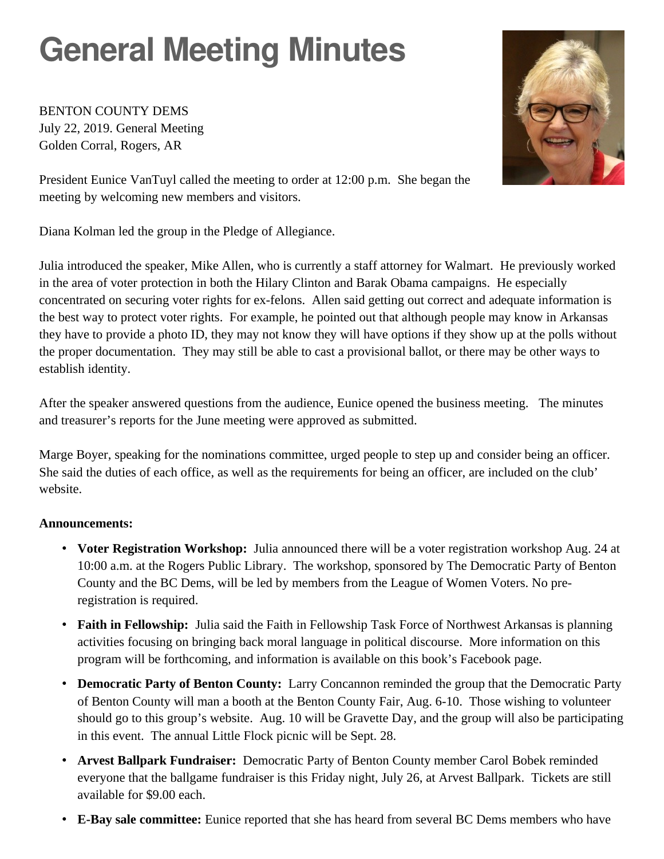# **General Meeting Minutes**

BENTON COUNTY DEMS July 22, 2019. General Meeting Golden Corral, Rogers, AR



President Eunice VanTuyl called the meeting to order at 12:00 p.m. She began the meeting by welcoming new members and visitors.

Diana Kolman led the group in the Pledge of Allegiance.

Julia introduced the speaker, Mike Allen, who is currently a staff attorney for Walmart. He previously worked in the area of voter protection in both the Hilary Clinton and Barak Obama campaigns. He especially concentrated on securing voter rights for ex-felons. Allen said getting out correct and adequate information is the best way to protect voter rights. For example, he pointed out that although people may know in Arkansas they have to provide a photo ID, they may not know they will have options if they show up at the polls without the proper documentation. They may still be able to cast a provisional ballot, or there may be other ways to establish identity.

After the speaker answered questions from the audience, Eunice opened the business meeting. The minutes and treasurer's reports for the June meeting were approved as submitted.

Marge Boyer, speaking for the nominations committee, urged people to step up and consider being an officer. She said the duties of each office, as well as the requirements for being an officer, are included on the club' website.

#### **Announcements:**

- **Voter Registration Workshop:** Julia announced there will be a voter registration workshop Aug. 24 at 10:00 a.m. at the Rogers Public Library. The workshop, sponsored by The Democratic Party of Benton County and the BC Dems, will be led by members from the League of Women Voters. No preregistration is required.
- **Faith in Fellowship:** Julia said the Faith in Fellowship Task Force of Northwest Arkansas is planning activities focusing on bringing back moral language in political discourse. More information on this program will be forthcoming, and information is available on this book's Facebook page.
- **Democratic Party of Benton County:** Larry Concannon reminded the group that the Democratic Party of Benton County will man a booth at the Benton County Fair, Aug. 6-10. Those wishing to volunteer should go to this group's website. Aug. 10 will be Gravette Day, and the group will also be participating in this event. The annual Little Flock picnic will be Sept. 28.
- **Arvest Ballpark Fundraiser:** Democratic Party of Benton County member Carol Bobek reminded everyone that the ballgame fundraiser is this Friday night, July 26, at Arvest Ballpark. Tickets are still available for \$9.00 each.
- **E-Bay sale committee:** Eunice reported that she has heard from several BC Dems members who have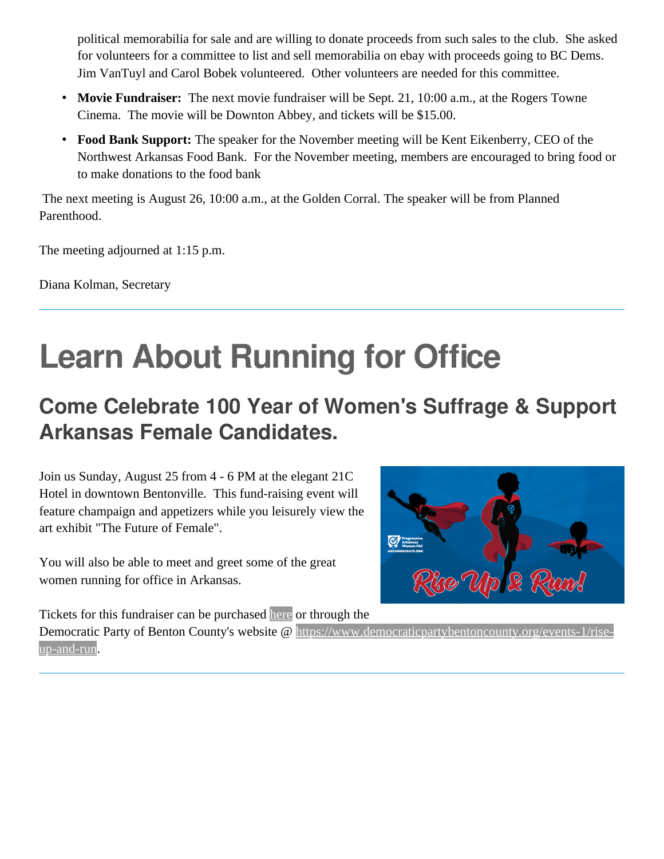political memorabilia for sale and are willing to donate proceeds from such sales to the club. She asked for volunteers for a committee to list and sell memorabilia on ebay with proceeds going to BC Dems. Jim VanTuyl and Carol Bobek volunteered. Other volunteers are needed for this committee.

- **Movie Fundraiser:** The next movie fundraiser will be Sept. 21, 10:00 a.m., at the Rogers Towne Cinema. The movie will be Downton Abbey, and tickets will be \$15.00.
- **Food Bank Support:** The speaker for the November meeting will be Kent Eikenberry, CEO of the Northwest Arkansas Food Bank. For the November meeting, members are encouraged to bring food or to make donations to the food bank

The next meeting is August 26, 10:00 a.m., at the Golden Corral. The speaker will be from Planned Parenthood.

The meeting adjourned at 1:15 p.m.

Diana Kolman, Secretary

## **Learn About Running for Office**

#### **Come Celebrate 100 Year of Women's Suffrage & Support Arkansas Female Candidates.**

Join us Sunday, August 25 from 4 - 6 PM at the elegant 21C Hotel in downtown Bentonville. This fund-raising event will feature champaign and appetizers while you leisurely view the art exhibit "The Future of Female".

You will also be able to meet and greet some of the great women running for office in Arkansas.



Tickets for this fundraiser can be purchased [here](https://secure.actblue.com/donate/21c?fbclid=IwAR16keeZYvOAB5XgoohH7jrOUJZEV53RY6ksZLLcYsWzIadUmDWS8DFmnAU) or through the

Democratic Party of Benton County's website @ [https://www.democraticpartybentoncounty.org/events-1/rise](https://www.democraticpartybentoncounty.org/events-1/rise-up-and-run)[up-and-run](https://www.democraticpartybentoncounty.org/events-1/rise-up-and-run).